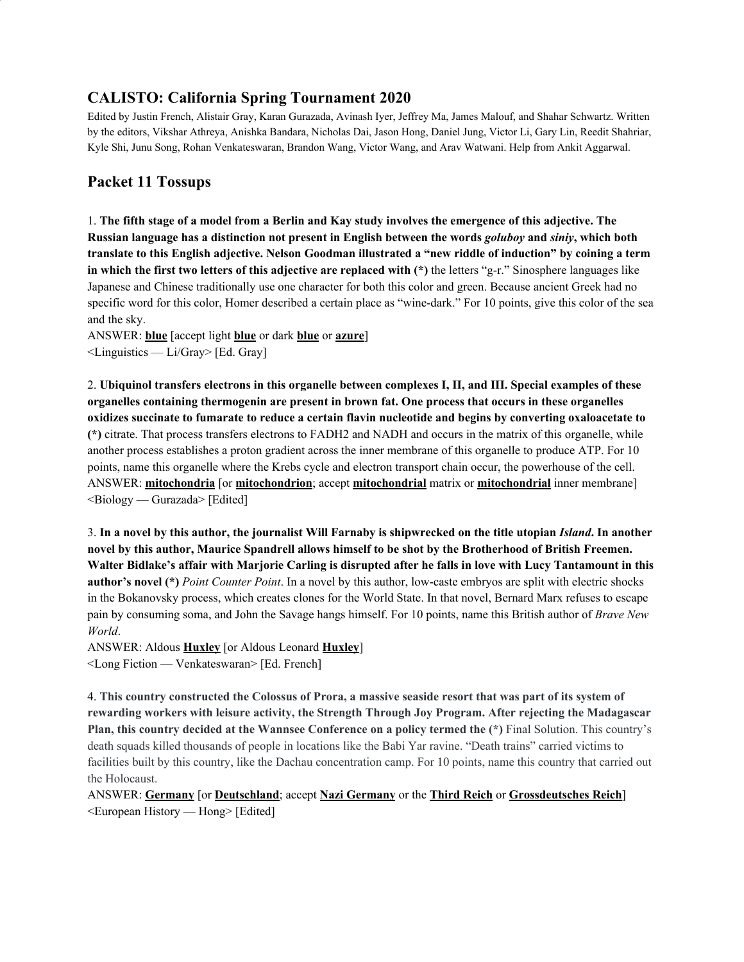# **CALISTO: California Spring Tournament 2020**

Edited by Justin French, Alistair Gray, Karan Gurazada, Avinash Iyer, Jeffrey Ma, James Malouf, and Shahar Schwartz. Written by the editors, Vikshar Athreya, Anishka Bandara, Nicholas Dai, Jason Hong, Daniel Jung, Victor Li, Gary Lin, Reedit Shahriar, Kyle Shi, Junu Song, Rohan Venkateswaran, Brandon Wang, Victor Wang, and Arav Watwani. Help from Ankit Aggarwal.

# **Packet 11 Tossups**

1. The fifth stage of a model from a Berlin and Kay study involves the emergence of this adjective. The Russian language has a distinction not present in English between the words *goluboy* and *siniy*, which both translate to this English adjective. Nelson Goodman illustrated a "new riddle of induction" by coining a term **in which the first two letters of this adjective are replaced with (\*)** the letters "g-r." Sinosphere languages like Japanese and Chinese traditionally use one character for both this color and green. Because ancient Greek had no specific word for this color, Homer described a certain place as "wine-dark." For 10 points, give this color of the sea and the sky.

ANSWER: **blue** [accept light **blue** or dark **blue** or **azure**] <Linguistics — Li/Gray> [Ed. Gray]

2. **Ubiquinol transfers electrons in this organelle between complexes I, II, and III. Special examples of these organelles containing thermogenin are present in brown fat. One process that occurs in these organelles oxidizes succinate to fumarate to reduce a certain flavin nucleotide and begins by converting oxaloacetate to (\*)** citrate. That process transfers electrons to FADH2 and NADH and occurs in the matrix of this organelle, while another process establishes a proton gradient across the inner membrane of this organelle to produce ATP. For 10 points, name this organelle where the Krebs cycle and electron transport chain occur, the powerhouse of the cell. ANSWER: **mitochondria** [or **mitochondrion**; accept **mitochondrial** matrix or **mitochondrial** inner membrane] <Biology — Gurazada> [Edited]

3. In a novel by this author, the journalist Will Farnaby is shipwrecked on the title utopian Island. In another **novel by this author, Maurice Spandrell allows himself to be shot by the Brotherhood of British Freemen.** Walter Bidlake's affair with Marjorie Carling is disrupted after he falls in love with Lucy Tantamount in this **author's novel (\*)** *Point Counter Point*. In a novel by this author, low-caste embryos are split with electric shocks in the Bokanovsky process, which creates clones for the World State. In that novel, Bernard Marx refuses to escape pain by consuming soma, and John the Savage hangs himself. For 10 points, name this British author of *Brave New World*.

ANSWER: Aldous **Huxley** [or Aldous Leonard **Huxley**] <Long Fiction — Venkateswaran> [Ed. French]

4. This country constructed the Colossus of Prora, a massive seaside resort that was part of its system of **rewarding workers with leisure activity, the Strength Through Joy Program. After rejecting the Madagascar Plan, this country decided at the Wannsee Conference on a policy termed the (\*)** Final Solution. This country's death squads killed thousands of people in locations like the Babi Yar ravine. "Death trains" carried victims to facilities built by this country, like the Dachau concentration camp. For 10 points, name this country that carried out the Holocaust.

ANSWER: **Germany** [or **Deutschland**; accept **Nazi Germany** or the **Third Reich** or **Grossdeutsches Reich**] <European History — Hong> [Edited]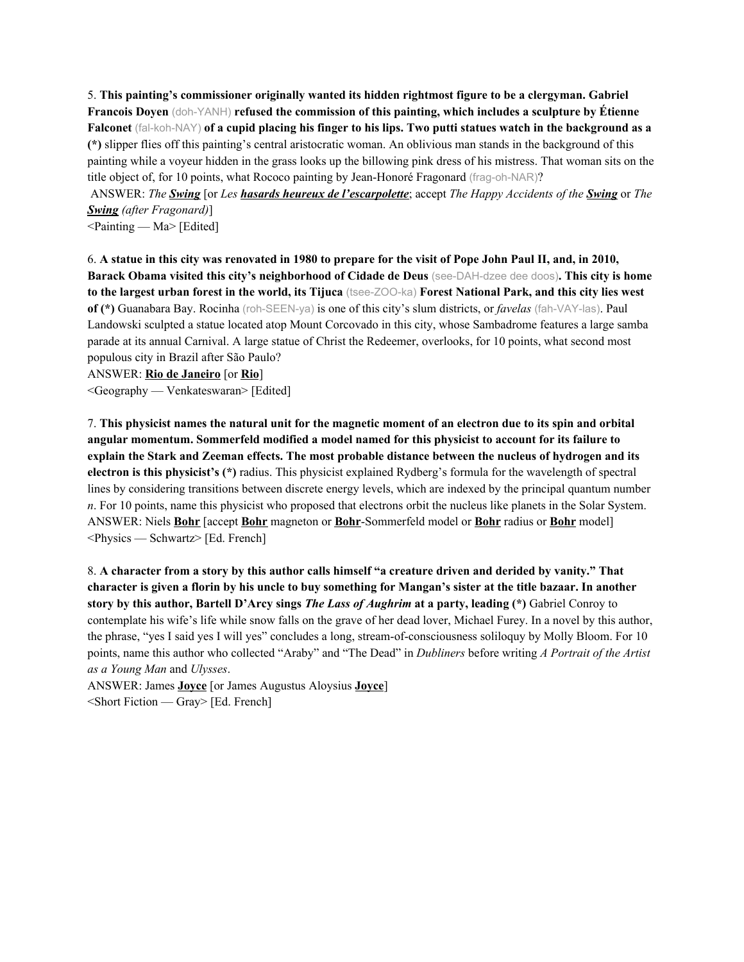5. **This painting's commissioner originally wanted its hidden rightmost figure to be a clergyman. Gabriel Francois Doyen** (doh-YANH) **refused the commission of this painting, which includes a sculpture by Étienne** Falconet (fal-koh-NAY) of a cupid placing his finger to his lips. Two putti statues watch in the background as a **(\*)** slipper flies off this painting's central aristocratic woman. An oblivious man stands in the background of this painting while a voyeur hidden in the grass looks up the billowing pink dress of his mistress. That woman sits on the title object of, for 10 points, what Rococo painting by Jean-Honoré Fragonard (frag-oh-NAR)?

ANSWER: *The Swing* [or *Les hasards heureux de l'escarpolette*; accept *The Happy Accidents of the Swing* or *The Swing (after Fragonard)*]

 $\leq$ Painting — Ma $>$  [Edited]

6. A statue in this city was renovated in 1980 to prepare for the visit of Pope John Paul II, and, in 2010, **Barack Obama visited this city's neighborhood of Cidade de Deus** (see-DAH-dzee dee doos)**. This city is home** to the largest urban forest in the world, its Tijuca (tsee-ZOO-ka) Forest National Park, and this city lies west **of (\*)** Guanabara Bay. Rocinha (roh-SEEN-ya) is one of this city's slum districts, or *favelas* (fah-VAY-las). Paul Landowski sculpted a statue located atop Mount Corcovado in this city, whose Sambadrome features a large samba parade at its annual Carnival. A large statue of Christ the Redeemer, overlooks, for 10 points, what second most populous city in Brazil after São Paulo?

ANSWER: **Rio de Janeiro** [or **Rio**]

<Geography — Venkateswaran> [Edited]

7. This physicist names the natural unit for the magnetic moment of an electron due to its spin and orbital **angular momentum. Sommerfeld modified a model named for this physicist to account for its failure to explain the Stark and Zeeman effects. The most probable distance between the nucleus of hydrogen and its electron is this physicist's (\*)** radius. This physicist explained Rydberg's formula for the wavelength of spectral lines by considering transitions between discrete energy levels, which are indexed by the principal quantum number *n*. For 10 points, name this physicist who proposed that electrons orbit the nucleus like planets in the Solar System. ANSWER: Niels **Bohr** [accept **Bohr** magneton or **Bohr**-Sommerfeld model or **Bohr** radius or **Bohr** model] <Physics — Schwartz> [Ed. French]

8. A character from a story by this author calls himself "a creature driven and derided by vanity." That character is given a florin by his uncle to buy something for Mangan's sister at the title bazaar. In another **story by this author, Bartell D'Arcy sings** *The Lass of Aughrim* **at a party, leading (\*)** Gabriel Conroy to contemplate his wife's life while snow falls on the grave of her dead lover, Michael Furey. In a novel by this author, the phrase, "yes I said yes I will yes" concludes a long, stream-of-consciousness soliloquy by Molly Bloom. For 10 points, name this author who collected "Araby" and "The Dead" in *Dubliners* before writing *A Portrait of the Artist as a Young Man* and *Ulysses*.

ANSWER: James **Joyce** [or James Augustus Aloysius **Joyce**] <Short Fiction — Gray> [Ed. French]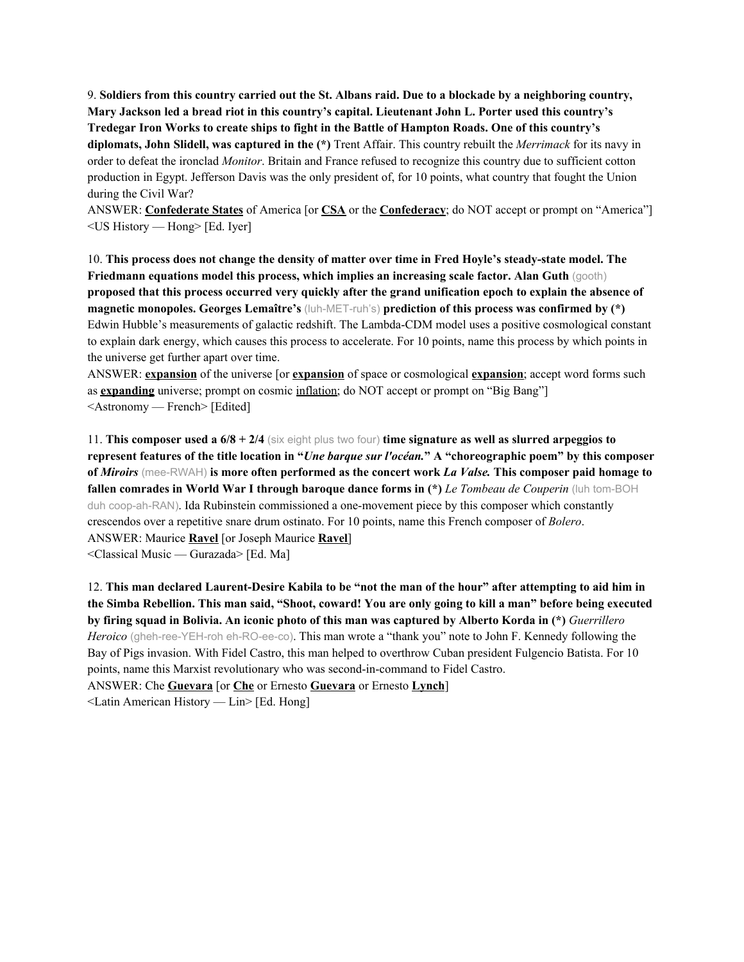9. Soldiers from this country carried out the St. Albans raid. Due to a blockade by a neighboring country, **Mary Jackson led a bread riot in this country's capital. Lieutenant John L. Porter used this country's Tredegar Iron Works to create ships to fight in the Battle of Hampton Roads. One of this country's diplomats, John Slidell, was captured in the (\*)** Trent Affair. This country rebuilt the *Merrimack* for its navy in order to defeat the ironclad *Monitor*. Britain and France refused to recognize this country due to sufficient cotton production in Egypt. Jefferson Davis was the only president of, for 10 points, what country that fought the Union during the Civil War?

ANSWER: **Confederate States** of America [or **CSA** or the **Confederacy**; do NOT accept or prompt on "America"] <US History — Hong> [Ed. Iyer]

10. **This process does not change the density of matter over time in Fred Hoyle's steady-state model. The Friedmann equations model this process, which implies an increasing scale factor. Alan Guth** (gooth) proposed that this process occurred very quickly after the grand unification epoch to explain the absence of **magnetic monopoles. Georges Lemaître's** (luh-MET-ruh's) **prediction of this process was confirmed by (\*)** Edwin Hubble's measurements of galactic redshift. The Lambda-CDM model uses a positive cosmological constant to explain dark energy, which causes this process to accelerate. For 10 points, name this process by which points in the universe get further apart over time.

ANSWER: **expansion** of the universe [or **expansion** of space or cosmological **expansion**; accept word forms such as **expanding** universe; prompt on cosmic inflation; do NOT accept or prompt on "Big Bang"] <Astronomy — French> [Edited]

11. **This composer used a 6/8 + 2/4** (six eight plus two four) **time signature as well as slurred arpeggios to** represent features of the title location in "Une bargue sur l'océan." A "choreographic poem" by this composer **of** *Miroirs* (mee-RWAH) **is more often performed as the concert work** *La Valse.* **This composer paid homage to fallen comrades in World War I through baroque dance forms in (\*)** *Le Tombeau de Couperin* (luh tom-BOH duh coop-ah-RAN). Ida Rubinstein commissioned a one-movement piece by this composer which constantly crescendos over a repetitive snare drum ostinato. For 10 points, name this French composer of *Bolero*. ANSWER: Maurice **Ravel** [or Joseph Maurice **Ravel**] <Classical Music — Gurazada> [Ed. Ma]

12. This man declared Laurent-Desire Kabila to be "not the man of the hour" after attempting to aid him in the Simba Rebellion. This man said, "Shoot, coward! You are only going to kill a man" before being executed by firing squad in Bolivia. An iconic photo of this man was captured by Alberto Korda in (\*) Guerrillero *Heroico* (gheh-ree-YEH-roh eh-RO-ee-co). This man wrote a "thank you" note to John F. Kennedy following the Bay of Pigs invasion. With Fidel Castro, this man helped to overthrow Cuban president Fulgencio Batista. For 10 points, name this Marxist revolutionary who was second-in-command to Fidel Castro. ANSWER: Che **Guevara** [or **Che** or Ernesto **Guevara** or Ernesto **Lynch**] <Latin American History — Lin> [Ed. Hong]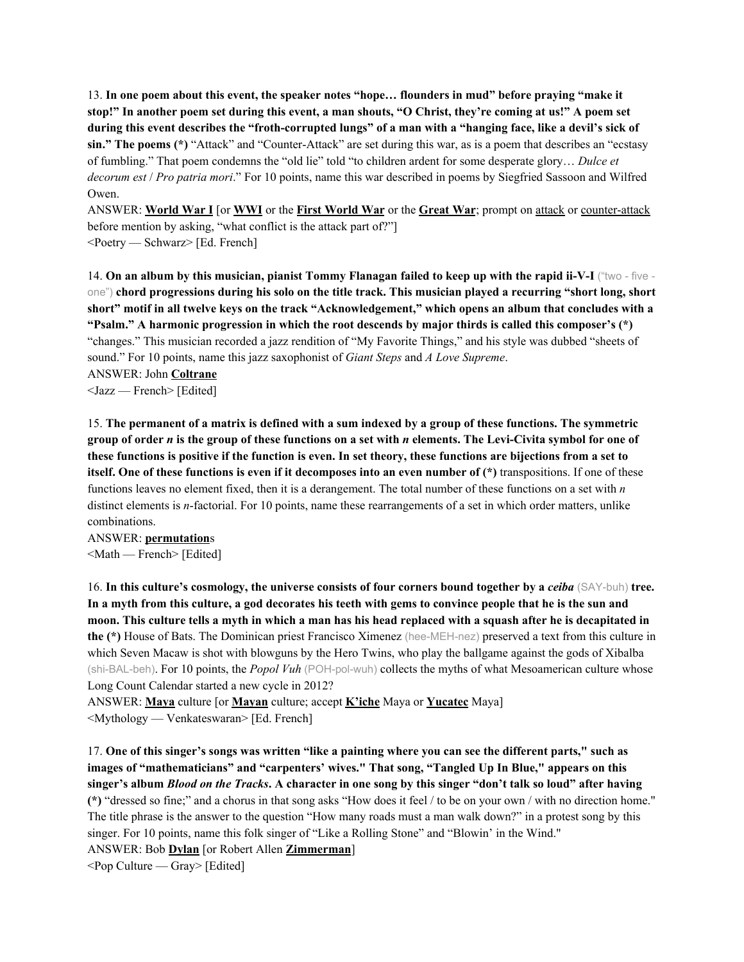13. **In one poem about this event, the speaker notes "hope… flounders in mud" before praying "make it** stop!" In another poem set during this event, a man shouts, "O Christ, they're coming at us!" A poem set during this event describes the "froth-corrupted lungs" of a man with a "hanging face, like a devil's sick of **sin." The poems (\*)** "Attack" and "Counter-Attack" are set during this war, as is a poem that describes an "ecstasy of fumbling." That poem condemns the "old lie" told "to children ardent for some desperate glory… *Dulce et decorum est* / *Pro patria mori*." For 10 points, name this war described in poems by Siegfried Sassoon and Wilfred Owen.

ANSWER: **World War I** [or **WWI** or the **First World War** or the **Great War**; prompt on attack or counter-attack before mention by asking, "what conflict is the attack part of?"] <Poetry — Schwarz> [Ed. French]

14. On an album by this musician, pianist Tommy Flanagan failed to keep up with the rapid ii-V-I ("two - five one") chord progressions during his solo on the title track. This musician played a recurring "short long, short short" motif in all twelve keys on the track "Acknowledgement," which opens an album that concludes with a **"Psalm." A harmonic progression in which the root descends by major thirds is called this composer's (\*)** "changes." This musician recorded a jazz rendition of "My Favorite Things," and his style was dubbed "sheets of sound." For 10 points, name this jazz saxophonist of *Giant Steps* and *A Love Supreme*. ANSWER: John **Coltrane**

<Jazz — French> [Edited]

15. The permanent of a matrix is defined with a sum indexed by a group of these functions. The symmetric group of order  $n$  is the group of these functions on a set with  $n$  elements. The Levi-Civita symbol for one of these functions is positive if the function is even. In set theory, these functions are bijections from a set to itself. One of these functions is even if it decomposes into an even number of  $(*)$  transpositions. If one of these functions leaves no element fixed, then it is a derangement. The total number of these functions on a set with *n* distinct elements is *n*-factorial. For 10 points, name these rearrangements of a set in which order matters, unlike combinations.

ANSWER: **permutation**s <Math — French> [Edited]

16. **In this culture's cosmology, the universe consists of four corners bound together by a** *ceiba* (SAY-buh) **tree.** In a myth from this culture, a god decorates his teeth with gems to convince people that he is the sun and moon. This culture tells a myth in which a man has his head replaced with a squash after he is decapitated in **the (\*)** House of Bats. The Dominican priest Francisco Ximenez (hee-MEH-nez) preserved a text from this culture in which Seven Macaw is shot with blowguns by the Hero Twins, who play the ballgame against the gods of Xibalba (shi-BAL-beh). For 10 points, the *Popol Vuh* (POH-pol-wuh) collects the myths of what Mesoamerican culture whose Long Count Calendar started a new cycle in 2012?

ANSWER: **Maya** culture [or **Mayan** culture; accept **K'iche** Maya or **Yucatec** Maya] <Mythology — Venkateswaran> [Ed. French]

17. One of this singer's songs was written "like a painting where you can see the different parts," such as **images of "mathematicians" and "carpenters' wives." That song, "Tangled Up In Blue," appears on this** singer's album Blood on the Tracks. A character in one song by this singer "don't talk so loud" after having **(\*)** "dressed so fine;" and a chorus in that song asks "How does it feel / to be on your own / with no direction home." The title phrase is the answer to the question "How many roads must a man walk down?" in a protest song by this singer. For 10 points, name this folk singer of "Like a Rolling Stone" and "Blowin' in the Wind." ANSWER: Bob **Dylan** [or Robert Allen **Zimmerman**]  $\leq$  Pop Culture — Gray> [Edited]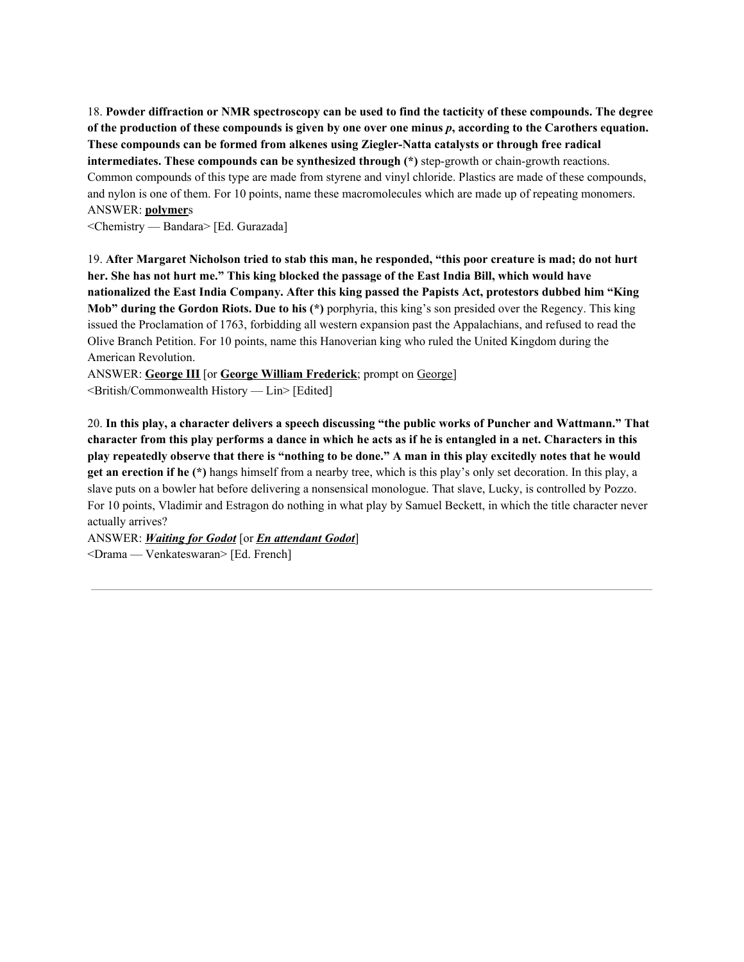18. Powder diffraction or NMR spectroscopy can be used to find the tacticity of these compounds. The degree of the production of these compounds is given by one over one minus p, according to the Carothers equation. **These compounds can be formed from alkenes using Ziegler-Natta catalysts or through free radical intermediates. These compounds can be synthesized through (\*)** step-growth or chain-growth reactions. Common compounds of this type are made from styrene and vinyl chloride. Plastics are made of these compounds, and nylon is one of them. For 10 points, name these macromolecules which are made up of repeating monomers. ANSWER: **polymer**s

<Chemistry — Bandara> [Ed. Gurazada]

19. After Margaret Nicholson tried to stab this man, he responded, "this poor creature is mad; do not hurt her. She has not hurt me." This king blocked the passage of the East India Bill, which would have **nationalized the East India Company. After this king passed the Papists Act, protestors dubbed him "King Mob" during the Gordon Riots. Due to his (\*)** porphyria, this king's son presided over the Regency. This king issued the Proclamation of 1763, forbidding all western expansion past the Appalachians, and refused to read the Olive Branch Petition. For 10 points, name this Hanoverian king who ruled the United Kingdom during the American Revolution.

ANSWER: **George III** [or **George William Frederick**; prompt on George] <British/Commonwealth History — Lin> [Edited]

20. In this play, a character delivers a speech discussing "the public works of Puncher and Wattmann." That character from this play performs a dance in which he acts as if he is entangled in a net. Characters in this play repeatedly observe that there is "nothing to be done." A man in this play excitedly notes that he would **get an erection if he (\*)** hangs himself from a nearby tree, which is this play's only set decoration. In this play, a slave puts on a bowler hat before delivering a nonsensical monologue. That slave, Lucky, is controlled by Pozzo. For 10 points, Vladimir and Estragon do nothing in what play by Samuel Beckett, in which the title character never actually arrives?

ANSWER: *Waiting for Godot* [or *En attendant Godot*] <Drama — Venkateswaran> [Ed. French]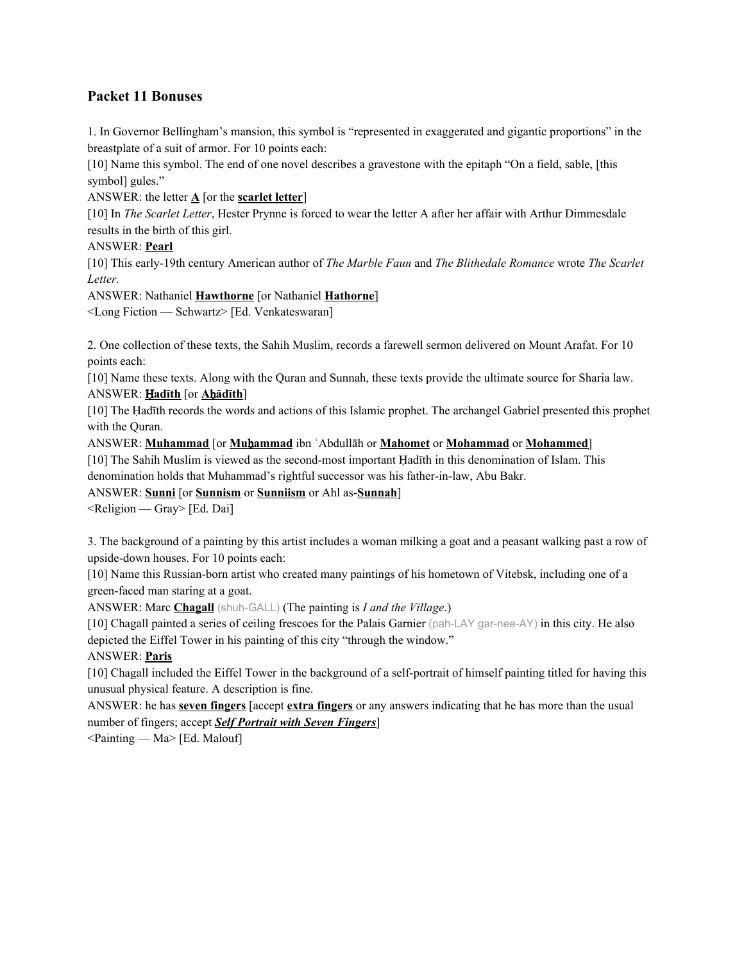# **Packet 11 Bonuses**

1. In Governor Bellingham's mansion, this symbol is "represented in exaggerated and gigantic proportions" in the breastplate of a suit of armor. For 10 points each:

[10] Name this symbol. The end of one novel describes a gravestone with the epitaph "On a field, sable, [this symbol] gules."

#### ANSWER: the letter  $\underline{A}$  [or the **scarlet letter**]

[10] In *The Scarlet Letter*, Hester Prynne is forced to wear the letter A after her affair with Arthur Dimmesdale results in the birth of this girl.

#### ANSWER: **Pearl**

[10] This early-19th century American author of *The Marble Faun* and *The Blithedale Romance* wrote *The Scarlet Letter.*

ANSWER: Nathaniel **Hawthorne** [or Nathaniel **Hathorne**]

<Long Fiction — Schwartz> [Ed. Venkateswaran]

2. One collection of these texts, the Sahih Muslim, records a farewell sermon delivered on Mount Arafat. For 10 points each:

[10] Name these texts. Along with the Quran and Sunnah, these texts provide the ultimate source for Sharia law. ANSWER: Ḥ**adīth** [or **A**ḥ**ādīth**]

[10] The Ḥadīth records the words and actions of this Islamic prophet. The archangel Gabriel presented this prophet with the Quran.

ANSWER: **Muhammad** [or **Mu**ḥ**ammad** ibn ʿAbdullāh or **Mahomet** or **Mohammad** or **Mohammed**]

[10] The Sahih Muslim is viewed as the second-most important Ḥadīth in this denomination of Islam. This denomination holds that Muhammad's rightful successor was his father-in-law, Abu Bakr.

ANSWER: **Sunni** [or **Sunnism** or **Sunniism** or Ahl as-**Sunnah**]

 $\leq$ Religion — Gray> [Ed. Dai]

3. The background of a painting by this artist includes a woman milking a goat and a peasant walking past a row of upside-down houses. For 10 points each:

[10] Name this Russian-born artist who created many paintings of his hometown of Vitebsk, including one of a green-faced man staring at a goat.

ANSWER: Marc **Chagall** (shuh-GALL) (The painting is *I and the Village*.)

[10] Chagall painted a series of ceiling frescoes for the Palais Garnier (pah-LAY gar-nee-AY) in this city. He also depicted the Eiffel Tower in his painting of this city "through the window."

### ANSWER: **Paris**

[10] Chagall included the Eiffel Tower in the background of a self-portrait of himself painting titled for having this unusual physical feature. A description is fine.

ANSWER: he has **seven fingers** [accept **extra fingers** or any answers indicating that he has more than the usual number of fingers; accept *Self Portrait with Seven Fingers*]

 $\leq$ Painting — Ma $\geq$  [Ed. Malouf]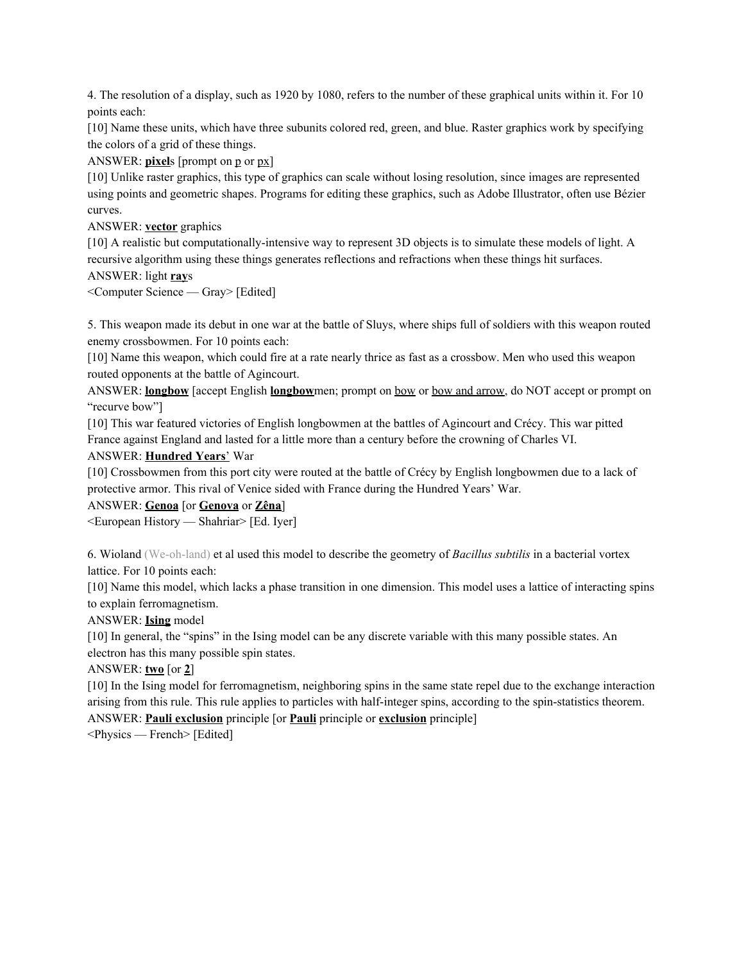4. The resolution of a display, such as 1920 by 1080, refers to the number of these graphical units within it. For 10 points each:

[10] Name these units, which have three subunits colored red, green, and blue. Raster graphics work by specifying the colors of a grid of these things.

ANSWER: **pixel**s [prompt on **p** or **px**]

[10] Unlike raster graphics, this type of graphics can scale without losing resolution, since images are represented using points and geometric shapes. Programs for editing these graphics, such as Adobe Illustrator, often use Bézier curves.

ANSWER: **vector** graphics

[10] A realistic but computationally-intensive way to represent 3D objects is to simulate these models of light. A recursive algorithm using these things generates reflections and refractions when these things hit surfaces. ANSWER: light **ray**s

<Computer Science — Gray> [Edited]

5. This weapon made its debut in one war at the battle of Sluys, where ships full of soldiers with this weapon routed enemy crossbowmen. For 10 points each:

[10] Name this weapon, which could fire at a rate nearly thrice as fast as a crossbow. Men who used this weapon routed opponents at the battle of Agincourt.

ANSWER: **longbow** [accept English **longbow**men; prompt on bow or bow and arrow, do NOT accept or prompt on "recurve bow"]

[10] This war featured victories of English longbowmen at the battles of Agincourt and Crécy. This war pitted France against England and lasted for a little more than a century before the crowning of Charles VI.

#### ANSWER: **Hundred Years**' War

[10] Crossbowmen from this port city were routed at the battle of Crécy by English longbowmen due to a lack of protective armor. This rival of Venice sided with France during the Hundred Years' War.

ANSWER: **Genoa** [or **Genova** or **Zêna**]

<European History — Shahriar> [Ed. Iyer]

6. Wioland (We-oh-land) et al used this model to describe the geometry of *Bacillus subtilis* in a bacterial vortex lattice. For 10 points each:

[10] Name this model, which lacks a phase transition in one dimension. This model uses a lattice of interacting spins to explain ferromagnetism.

### ANSWER: **Ising** model

[10] In general, the "spins" in the Ising model can be any discrete variable with this many possible states. An electron has this many possible spin states.

#### ANSWER: **two** [or **2**]

[10] In the Ising model for ferromagnetism, neighboring spins in the same state repel due to the exchange interaction arising from this rule. This rule applies to particles with half-integer spins, according to the spin-statistics theorem.

ANSWER: **Pauli exclusion** principle [or **Pauli** principle or **exclusion** principle]

<Physics — French> [Edited]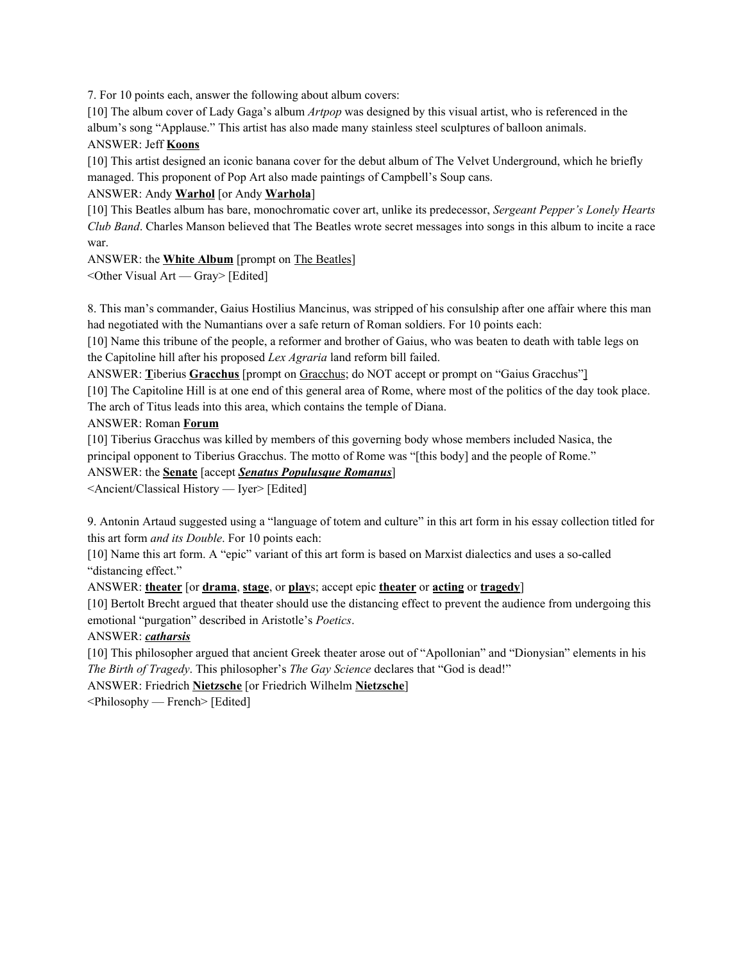7. For 10 points each, answer the following about album covers:

[10] The album cover of Lady Gaga's album *Artpop* was designed by this visual artist, who is referenced in the album's song "Applause." This artist has also made many stainless steel sculptures of balloon animals. ANSWER: Jeff **Koons**

[10] This artist designed an iconic banana cover for the debut album of The Velvet Underground, which he briefly managed. This proponent of Pop Art also made paintings of Campbell's Soup cans.

### ANSWER: Andy **Warhol** [or Andy **Warhola**]

[10] This Beatles album has bare, monochromatic cover art, unlike its predecessor, *Sergeant Pepper's Lonely Hearts Club Band*. Charles Manson believed that The Beatles wrote secret messages into songs in this album to incite a race war.

ANSWER: the **White Album** [prompt on The Beatles]

<Other Visual Art — Gray> [Edited]

8. This man's commander, Gaius Hostilius Mancinus, was stripped of his consulship after one affair where this man had negotiated with the Numantians over a safe return of Roman soldiers. For 10 points each:

[10] Name this tribune of the people, a reformer and brother of Gaius, who was beaten to death with table legs on the Capitoline hill after his proposed *Lex Agraria* land reform bill failed.

ANSWER: **T**iberius **Gracchus** [prompt on Gracchus; do NOT accept or prompt on "Gaius Gracchus"]

[10] The Capitoline Hill is at one end of this general area of Rome, where most of the politics of the day took place. The arch of Titus leads into this area, which contains the temple of Diana.

ANSWER: Roman **Forum**

[10] Tiberius Gracchus was killed by members of this governing body whose members included Nasica, the principal opponent to Tiberius Gracchus. The motto of Rome was "[this body] and the people of Rome."

### ANSWER: the **Senate** [accept *Senatus Populusque Romanus*]

<Ancient/Classical History — Iyer> [Edited]

9. Antonin Artaud suggested using a "language of totem and culture" in this art form in his essay collection titled for this art form *and its Double*. For 10 points each:

[10] Name this art form. A "epic" variant of this art form is based on Marxist dialectics and uses a so-called "distancing effect."

### ANSWER: **theater** [or **drama**, **stage**, or **play**s; accept epic **theater** or **acting** or **tragedy**]

[10] Bertolt Brecht argued that theater should use the distancing effect to prevent the audience from undergoing this emotional "purgation" described in Aristotle's *Poetics*.

### ANSWER: *catharsis*

[10] This philosopher argued that ancient Greek theater arose out of "Apollonian" and "Dionysian" elements in his *The Birth of Tragedy*. This philosopher's *The Gay Science* declares that "God is dead!"

ANSWER: Friedrich **Nietzsche** [or Friedrich Wilhelm **Nietzsche**]

<Philosophy — French> [Edited]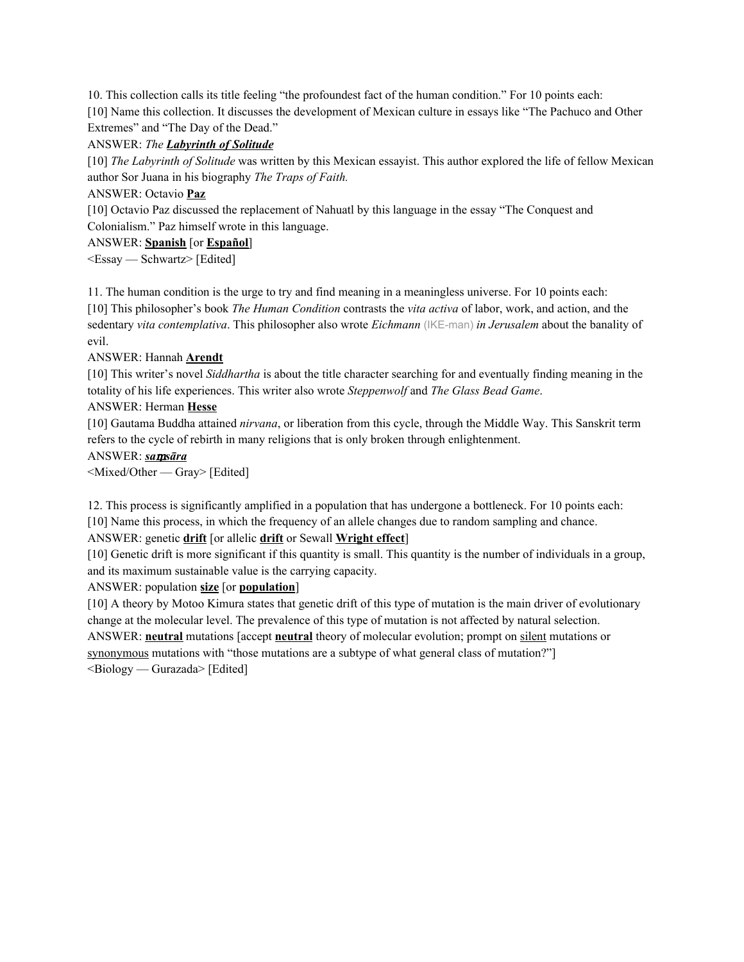10. This collection calls its title feeling "the profoundest fact of the human condition." For 10 points each: [10] Name this collection. It discusses the development of Mexican culture in essays like "The Pachuco and Other Extremes" and "The Day of the Dead."

### ANSWER: *The Labyrinth of Solitude*

[10] *The Labyrinth of Solitude* was written by this Mexican essayist. This author explored the life of fellow Mexican author Sor Juana in his biography *The Traps of Faith.*

### ANSWER: Octavio **Paz**

[10] Octavio Paz discussed the replacement of Nahuatl by this language in the essay "The Conquest and Colonialism." Paz himself wrote in this language.

### ANSWER: **Spanish** [or **Español**]

<Essay — Schwartz> [Edited]

11. The human condition is the urge to try and find meaning in a meaningless universe. For 10 points each:

[10] This philosopher's book *The Human Condition* contrasts the *vita activa* of labor, work, and action, and the sedentary *vita contemplativa*. This philosopher also wrote *Eichmann* (IKE-man) *in Jerusalem* about the banality of evil.

### ANSWER: Hannah **Arendt**

[10] This writer's novel *Siddhartha* is about the title character searching for and eventually finding meaning in the totality of his life experiences. This writer also wrote *Steppenwolf* and *The Glass Bead Game*.

### ANSWER: Herman **Hesse**

[10] Gautama Buddha attained *nirvana*, or liberation from this cycle, through the Middle Way. This Sanskrit term refers to the cycle of rebirth in many religions that is only broken through enlightenment.

### ANSWER: *sa*ṃ*sāra*

<Mixed/Other — Gray> [Edited]

12. This process is significantly amplified in a population that has undergone a bottleneck. For 10 points each: [10] Name this process, in which the frequency of an allele changes due to random sampling and chance.

## ANSWER: genetic **drift** [or allelic **drift** or Sewall **Wright effect**]

[10] Genetic drift is more significant if this quantity is small. This quantity is the number of individuals in a group, and its maximum sustainable value is the carrying capacity.

## ANSWER: population **size** [or **population**]

[10] A theory by Motoo Kimura states that genetic drift of this type of mutation is the main driver of evolutionary change at the molecular level. The prevalence of this type of mutation is not affected by natural selection. ANSWER: **neutral** mutations [accept **neutral** theory of molecular evolution; prompt on silent mutations or synonymous mutations with "those mutations are a subtype of what general class of mutation?"]  $\leq$ Biology — Gurazada> [Edited]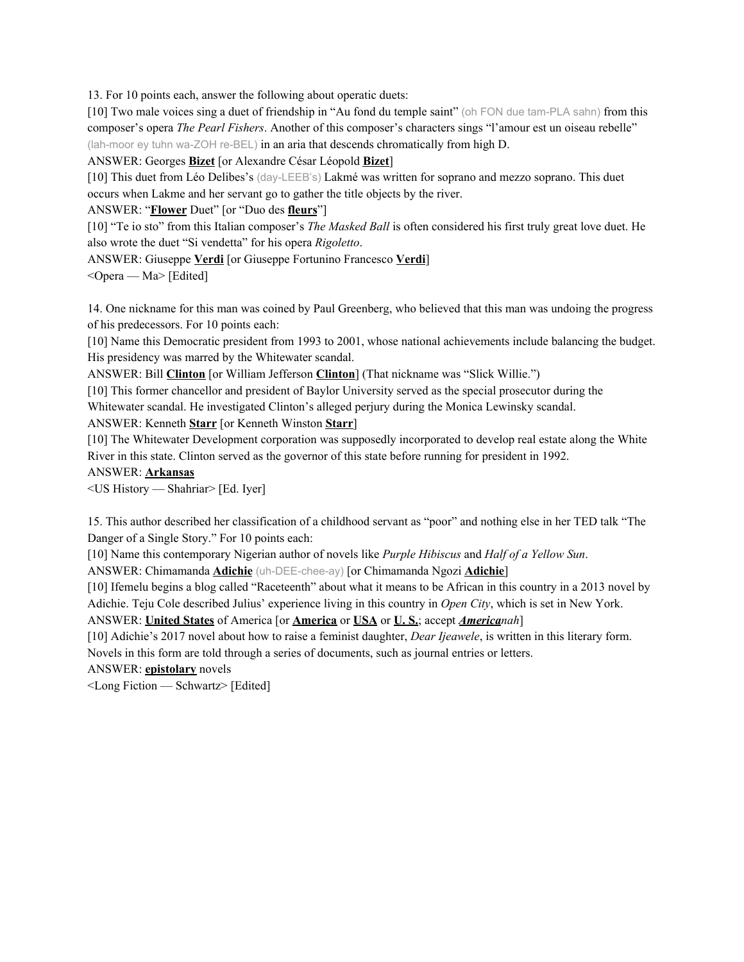13. For 10 points each, answer the following about operatic duets:

[10] Two male voices sing a duet of friendship in "Au fond du temple saint" (oh FON due tam-PLA sahn) from this composer's opera *The Pearl Fishers*. Another of this composer's characters sings "l'amour est un oiseau rebelle" (lah-moor ey tuhn wa-ZOH re-BEL) in an aria that descends chromatically from high D.

ANSWER: Georges **Bizet** [or Alexandre César Léopold **Bizet**]

[10] This duet from Léo Delibes's (day-LEEB's) Lakmé was written for soprano and mezzo soprano. This duet occurs when Lakme and her servant go to gather the title objects by the river.

ANSWER: "**Flower** Duet" [or "Duo des **fleurs**"]

[10] "Te io sto" from this Italian composer's *The Masked Ball* is often considered his first truly great love duet. He also wrote the duet "Si vendetta" for his opera *Rigoletto*.

ANSWER: Giuseppe **Verdi** [or Giuseppe Fortunino Francesco **Verdi**]

 $\leq$ Opera — Ma> [Edited]

14. One nickname for this man was coined by Paul Greenberg, who believed that this man was undoing the progress of his predecessors. For 10 points each:

[10] Name this Democratic president from 1993 to 2001, whose national achievements include balancing the budget. His presidency was marred by the Whitewater scandal.

ANSWER: Bill **Clinton** [or William Jefferson **Clinton**] (That nickname was "Slick Willie.")

[10] This former chancellor and president of Baylor University served as the special prosecutor during the

Whitewater scandal. He investigated Clinton's alleged perjury during the Monica Lewinsky scandal.

ANSWER: Kenneth **Starr** [or Kenneth Winston **Starr**]

[10] The Whitewater Development corporation was supposedly incorporated to develop real estate along the White River in this state. Clinton served as the governor of this state before running for president in 1992.

#### ANSWER: **Arkansas**

<US History — Shahriar> [Ed. Iyer]

15. This author described her classification of a childhood servant as "poor" and nothing else in her TED talk "The Danger of a Single Story." For 10 points each:

[10] Name this contemporary Nigerian author of novels like *Purple Hibiscus* and *Half of a Yellow Sun*.

ANSWER: Chimamanda **Adichie** (uh-DEE-chee-ay) [or Chimamanda Ngozi **Adichie**]

[10] Ifemelu begins a blog called "Raceteenth" about what it means to be African in this country in a 2013 novel by Adichie. Teju Cole described Julius' experience living in this country in *Open City*, which is set in New York.

ANSWER: **United States** of America [or **America** or **USA** or **U. S.**; accept *Americanah*]

[10] Adichie's 2017 novel about how to raise a feminist daughter, *Dear Ijeawele*, is written in this literary form. Novels in this form are told through a series of documents, such as journal entries or letters.

ANSWER: **epistolary** novels

<Long Fiction — Schwartz> [Edited]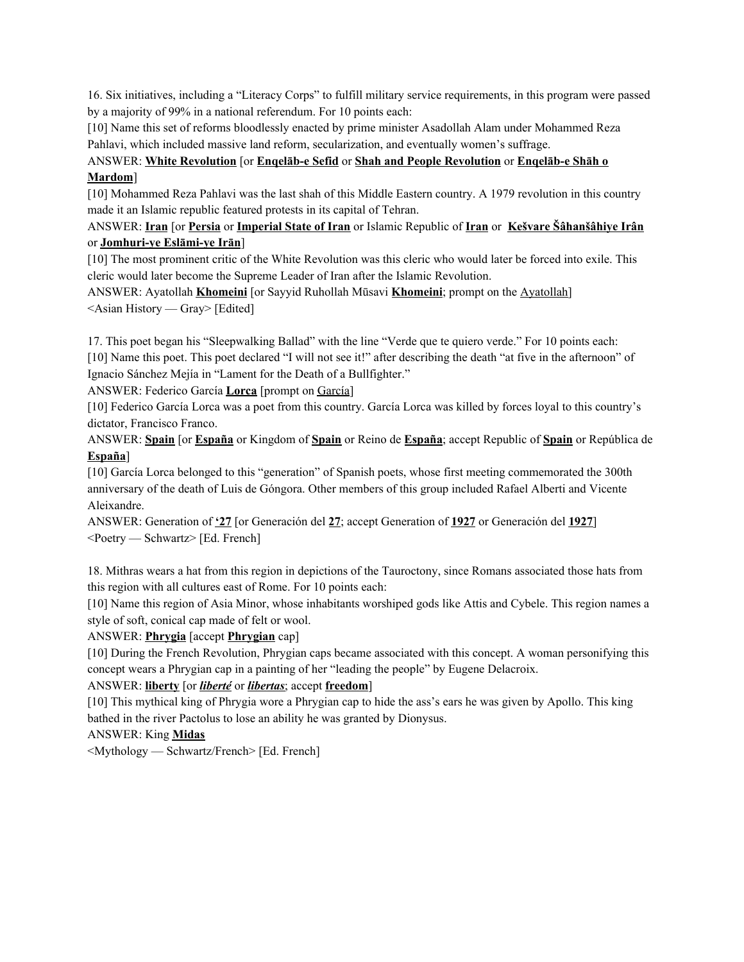16. Six initiatives, including a "Literacy Corps" to fulfill military service requirements, in this program were passed by a majority of 99% in a national referendum. For 10 points each:

[10] Name this set of reforms bloodlessly enacted by prime minister Asadollah Alam under Mohammed Reza Pahlavi, which included massive land reform, secularization, and eventually women's suffrage.

# ANSWER: **White Revolution** [or **Enqelāb-e Sefid** or **Shah and People Revolution** or **Enqelāb-e Shāh o Mardom**]

[10] Mohammed Reza Pahlavi was the last shah of this Middle Eastern country. A 1979 revolution in this country made it an Islamic republic featured protests in its capital of Tehran.

### ANSWER: **Iran** [or **Persia** or **Imperial State of Iran** or Islamic Republic of **Iran** or **Kešvare Šâhanšâhiye Irân** or **Jomhuri-ye Eslāmi-ye Irān**]

[10] The most prominent critic of the White Revolution was this cleric who would later be forced into exile. This cleric would later become the Supreme Leader of Iran after the Islamic Revolution.

ANSWER: Ayatollah **Khomeini** [or Sayyid Ruhollah Mūsavi **Khomeini**; prompt on the Ayatollah] <Asian History — Gray> [Edited]

17. This poet began his "Sleepwalking Ballad" with the line "Verde que te quiero verde." For 10 points each: [10] Name this poet. This poet declared "I will not see it!" after describing the death "at five in the afternoon" of Ignacio Sánchez Mejía in "Lament for the Death of a Bullfighter."

ANSWER: Federico García **Lorca** [prompt on García]

[10] Federico García Lorca was a poet from this country. García Lorca was killed by forces loyal to this country's dictator, Francisco Franco.

ANSWER: **Spain** [or **España** or Kingdom of **Spain** or Reino de **España**; accept Republic of **Spain** or República de **España**]

[10] García Lorca belonged to this "generation" of Spanish poets, whose first meeting commemorated the 300th anniversary of the death of Luis de Góngora. Other members of this group included Rafael Alberti and Vicente Aleixandre.

ANSWER: Generation of **'27** [or Generación del **27**; accept Generation of **1927** or Generación del **1927**] <Poetry — Schwartz> [Ed. French]

18. Mithras wears a hat from this region in depictions of the Tauroctony, since Romans associated those hats from this region with all cultures east of Rome. For 10 points each:

[10] Name this region of Asia Minor, whose inhabitants worshiped gods like Attis and Cybele. This region names a style of soft, conical cap made of felt or wool.

### ANSWER: **Phrygia** [accept **Phrygian** cap]

[10] During the French Revolution, Phrygian caps became associated with this concept. A woman personifying this concept wears a Phrygian cap in a painting of her "leading the people" by Eugene Delacroix.

### ANSWER: **liberty** [or *liberté* or *libertas*; accept **freedom**]

[10] This mythical king of Phrygia wore a Phrygian cap to hide the ass's ears he was given by Apollo. This king bathed in the river Pactolus to lose an ability he was granted by Dionysus.

### ANSWER: King **Midas**

<Mythology — Schwartz/French> [Ed. French]